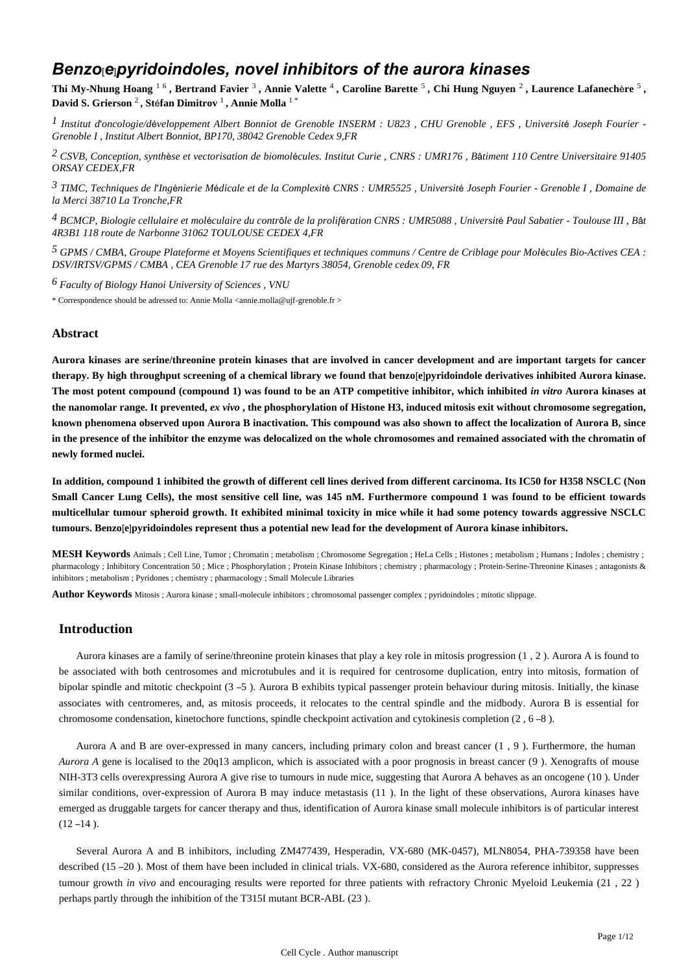# *Benzo*[*e*]*pyridoindoles, novel inhibitors of the aurora kinases*

**Thi My-Nhung Hoang** 1 6 **, Bertrand Favier** <sup>3</sup> **, Annie Valette** <sup>4</sup> **, Caroline Barette** <sup>5</sup> **, Chi Hung Nguyen** <sup>2</sup> **, Laurence Lafanech**è**re** <sup>5</sup> **, David S. Grierson** <sup>2</sup> **, St**é**fan Dimitrov** <sup>1</sup> **, Annie Molla** 1 \*

*Institut d oncologie/d veloppement Albert Bonniot de Grenoble 1*  ' é *INSERM : U823 , CHU Grenoble , EFS , Universit*é *Joseph Fourier - Grenoble I , Institut Albert Bonniot, BP170, 38042 Grenoble Cedex 9,FR*

*CSVB, Conception, synth se et vectorisation de biomol cules. 2* <sup>è</sup> <sup>é</sup> *Institut Curie , CNRS : UMR176 , B*â*timent 110 Centre Universitaire 91405 ORSAY CEDEX,FR*

*TIMC, Techniques de l Ing nierie M dicale et de la Complexit 3*  ' é é é *CNRS : UMR5525 , Universit*é *Joseph Fourier - Grenoble I , Domaine de la Merci 38710 La Tronche,FR*

*BCMCP, Biologie cellulaire et mol culaire du contr le de la prolif ration 4* <sup>é</sup> <sup>ô</sup> <sup>é</sup> *CNRS : UMR5088 , Universit*é *Paul Sabatier - Toulouse III , B*â*t 4R3B1 118 route de Narbonne 31062 TOULOUSE CEDEX 4,FR*

*GPMS / CMBA, Groupe Plateforme et Moyens Scientifiques et techniques communs / Centre de Criblage pour Mol cules Bio-Actives 5* <sup>é</sup> *CEA : DSV/IRTSV/GPMS / CMBA , CEA Grenoble 17 rue des Martyrs 38054, Grenoble cedex 09, FR*

*Faculty of Biology 6 Hanoi University of Sciences , VNU*

\* Correspondence should be adressed to: Annie Molla <annie.molla@ujf-grenoble.fr >

# **Abstract**

**Aurora kinases are serine/threonine protein kinases that are involved in cancer development and are important targets for cancer therapy. By high throughput screening of a chemical library we found that benzo**[**e**]**pyridoindole derivatives inhibited Aurora kinase. The most potent compound (compound 1) was found to be an ATP competitive inhibitor, which inhibited** *in vitro* **Aurora kinases at the nanomolar range. It prevented,** *ex vivo* **, the phosphorylation of Histone H3, induced mitosis exit without chromosome segregation, known phenomena observed upon Aurora B inactivation. This compound was also shown to affect the localization of Aurora B, since in the presence of the inhibitor the enzyme was delocalized on the whole chromosomes and remained associated with the chromatin of newly formed nuclei.**

**In addition, compound 1 inhibited the growth of different cell lines derived from different carcinoma. Its IC50 for H358 NSCLC (Non Small Cancer Lung Cells), the most sensitive cell line, was 145 nM. Furthermore compound 1 was found to be efficient towards multicellular tumour spheroid growth. It exhibited minimal toxicity in mice while it had some potency towards aggressive NSCLC tumours. Benzo**[**e**]**pyridoindoles represent thus a potential new lead for the development of Aurora kinase inhibitors.**

**MESH Keywords** Animals ; Cell Line, Tumor ; Chromatin ; metabolism ; Chromosome Segregation ; HeLa Cells ; Histones ; metabolism ; Humans ; Indoles ; chemistry ; pharmacology ; Inhibitory Concentration 50 ; Mice ; Phosphorylation ; Protein Kinase Inhibitors ; chemistry ; pharmacology ; Protein-Serine-Threonine Kinases ; antagonists & inhibitors ; metabolism ; Pyridones ; chemistry ; pharmacology ; Small Molecule Libraries

**Author Keywords** Mitosis ; Aurora kinase ; small-molecule inhibitors ; chromosomal passenger complex ; pyridoindoles ; mitotic slippage.

# **Introduction**

Aurora kinases are a family of serine/threonine protein kinases that play a key role in mitosis progression (1 , 2 ). Aurora A is found to be associated with both centrosomes and microtubules and it is required for centrosome duplication, entry into mitosis, formation of bipolar spindle and mitotic checkpoint (3 –5 ). Aurora B exhibits typical passenger protein behaviour during mitosis. Initially, the kinase associates with centromeres, and, as mitosis proceeds, it relocates to the central spindle and the midbody. Aurora B is essential for chromosome condensation, kinetochore functions, spindle checkpoint activation and cytokinesis completion (2 , 6 –8 ).

Aurora A and B are over-expressed in many cancers, including primary colon and breast cancer (1 , 9 ). Furthermore, the human *Aurora A* gene is localised to the 20q13 amplicon, which is associated with a poor prognosis in breast cancer (9). Xenografts of mouse NIH-3T3 cells overexpressing Aurora A give rise to tumours in nude mice, suggesting that Aurora A behaves as an oncogene (10 ). Under similar conditions, over-expression of Aurora B may induce metastasis (11 ). In the light of these observations, Aurora kinases have emerged as druggable targets for cancer therapy and thus, identification of Aurora kinase small molecule inhibitors is of particular interest  $(12 - 14)$ .

Several Aurora A and B inhibitors, including ZM477439, Hesperadin, VX-680 (MK-0457), MLN8054, PHA-739358 have been described (15 –20 ). Most of them have been included in clinical trials. VX-680, considered as the Aurora reference inhibitor, suppresses tumour growth *in vivo* and encouraging results were reported for three patients with refractory Chronic Myeloid Leukemia (21 , 22 ) perhaps partly through the inhibition of the T315I mutant BCR-ABL (23 ).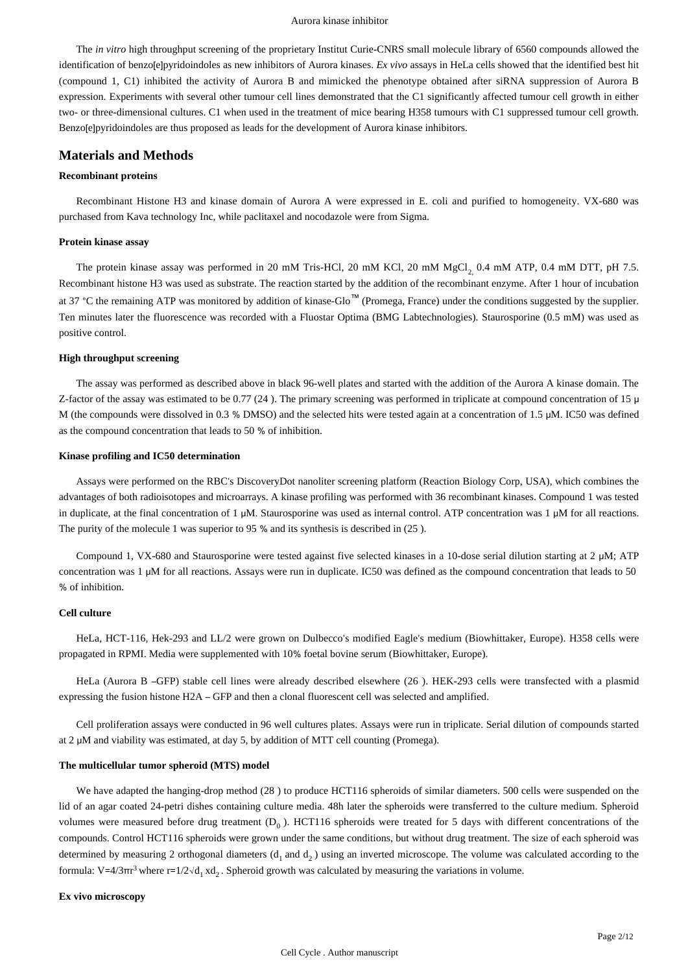The *in vitro* high throughput screening of the proprietary Institut Curie-CNRS small molecule library of 6560 compounds allowed the identification of benzo[e]pyridoindoles as new inhibitors of Aurora kinases. *Ex vivo* assays in HeLa cells showed that the identified best hit (compound 1, C1) inhibited the activity of Aurora B and mimicked the phenotype obtained after siRNA suppression of Aurora B expression. Experiments with several other tumour cell lines demonstrated that the C1 significantly affected tumour cell growth in either two- or three-dimensional cultures. C1 when used in the treatment of mice bearing H358 tumours with C1 suppressed tumour cell growth. Benzo[e]pyridoindoles are thus proposed as leads for the development of Aurora kinase inhibitors.

# **Materials and Methods**

# **Recombinant proteins**

Recombinant Histone H3 and kinase domain of Aurora A were expressed in E. coli and purified to homogeneity. VX-680 was purchased from Kava technology Inc, while paclitaxel and nocodazole were from Sigma.

### **Protein kinase assay**

The protein kinase assay was performed in 20 mM Tris-HCl, 20 mM KCl, 20 mM MgCl<sub>2</sub> 0.4 mM ATP, 0.4 mM DTT, pH 7.5. Recombinant histone H3 was used as substrate. The reaction started by the addition of the recombinant enzyme. After 1 hour of incubation at 37 °C the remaining ATP was monitored by addition of kinase-Glo™ (Promega, France) under the conditions suggested by the supplier. Ten minutes later the fluorescence was recorded with a Fluostar Optima (BMG Labtechnologies). Staurosporine (0.5 mM) was used as positive control.

#### **High throughput screening**

The assay was performed as described above in black 96-well plates and started with the addition of the Aurora A kinase domain. The Z-factor of the assay was estimated to be 0.77 (24 ). The primary screening was performed in triplicate at compound concentration of 15 μ M (the compounds were dissolved in 0.3 % DMSO) and the selected hits were tested again at a concentration of 1.5 μM. IC50 was defined as the compound concentration that leads to 50 % of inhibition.

#### **Kinase profiling and IC50 determination**

Assays were performed on the RBC's DiscoveryDot nanoliter screening platform (Reaction Biology Corp, USA), which combines the advantages of both radioisotopes and microarrays. A kinase profiling was performed with 36 recombinant kinases. Compound 1 was tested in duplicate, at the final concentration of 1  $\mu$ M. Staurosporine was used as internal control. ATP concentration was 1  $\mu$ M for all reactions. The purity of the molecule 1 was superior to 95 % and its synthesis is described in (25 ).

Compound 1, VX-680 and Staurosporine were tested against five selected kinases in a 10-dose serial dilution starting at 2 μM; ATP concentration was 1 μM for all reactions. Assays were run in duplicate. IC50 was defined as the compound concentration that leads to 50 % of inhibition.

# **Cell culture**

HeLa, HCT-116, Hek-293 and LL/2 were grown on Dulbecco's modified Eagle's medium (Biowhittaker, Europe). H358 cells were propagated in RPMI. Media were supplemented with 10% foetal bovine serum (Biowhittaker, Europe).

HeLa (Aurora B –GFP) stable cell lines were already described elsewhere (26 ). HEK-293 cells were transfected with a plasmid expressing the fusion histone H2A – GFP and then a clonal fluorescent cell was selected and amplified.

Cell proliferation assays were conducted in 96 well cultures plates. Assays were run in triplicate. Serial dilution of compounds started at 2 μM and viability was estimated, at day 5, by addition of MTT cell counting (Promega).

### **The multicellular tumor spheroid (MTS) model**

We have adapted the hanging-drop method (28) to produce HCT116 spheroids of similar diameters. 500 cells were suspended on the lid of an agar coated 24-petri dishes containing culture media. 48h later the spheroids were transferred to the culture medium. Spheroid volumes were measured before drug treatment  $(D_0)$ . HCT116 spheroids were treated for 5 days with different concentrations of the compounds. Control HCT116 spheroids were grown under the same conditions, but without drug treatment. The size of each spheroid was determined by measuring 2 orthogonal diameters  $(d_1 \text{ and } d_2)$  using an inverted microscope. The volume was calculated according to the formula: V=4/3 $\pi r^3$  where r=1/2 $\sqrt{d}$ ,  $x d_2$ . Spheroid growth was calculated by measuring the variations in volume.

#### **Ex vivo microscopy**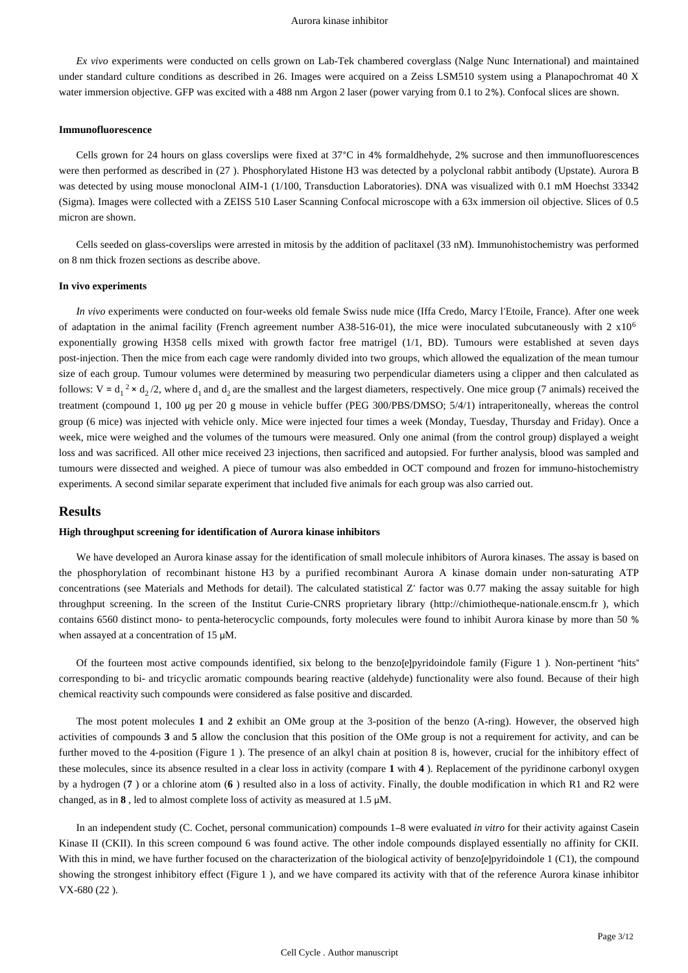*Ex vivo* experiments were conducted on cells grown on Lab-Tek chambered coverglass (Nalge Nunc International) and maintained under standard culture conditions as described in 26. Images were acquired on a Zeiss LSM510 system using a Planapochromat 40 X water immersion objective. GFP was excited with a 488 nm Argon 2 laser (power varying from 0.1 to 2%). Confocal slices are shown.

#### **Immunofluorescence**

Cells grown for 24 hours on glass coverslips were fixed at  $37^{\circ}$ C in 4% formaldhehyde, 2% sucrose and then immunofluorescences were then performed as described in (27 ). Phosphorylated Histone H3 was detected by a polyclonal rabbit antibody (Upstate). Aurora B was detected by using mouse monoclonal AIM-1 (1/100, Transduction Laboratories). DNA was visualized with 0.1 mM Hoechst 33342 (Sigma). Images were collected with a ZEISS 510 Laser Scanning Confocal microscope with a 63x immersion oil objective. Slices of 0.5 micron are shown.

Cells seeded on glass-coverslips were arrested in mitosis by the addition of paclitaxel (33 nM). Immunohistochemistry was performed on 8 nm thick frozen sections as describe above.

# **In vivo experiments**

*In vivo* experiments were conducted on four-weeks old female Swiss nude mice (Iffa Credo, Marcy l'Etoile, France). After one week of adaptation in the animal facility (French agreement number A38-516-01), the mice were inoculated subcutaneously with  $2 \times 10^6$ exponentially growing H358 cells mixed with growth factor free matrigel (1/1, BD). Tumours were established at seven days post-injection. Then the mice from each cage were randomly divided into two groups, which allowed the equalization of the mean tumour size of each group. Tumour volumes were determined by measuring two perpendicular diameters using a clipper and then calculated as follows:  $V = d_1^2 \times d_2/2$ , where  $d_1$  and  $d_2$  are the smallest and the largest diameters, respectively. One mice group (7 animals) received the treatment (compound 1, 100 μg per 20 g mouse in vehicle buffer (PEG 300/PBS/DMSO; 5/4/1) intraperitoneally, whereas the control group (6 mice) was injected with vehicle only. Mice were injected four times a week (Monday, Tuesday, Thursday and Friday). Once a week, mice were weighed and the volumes of the tumours were measured. Only one animal (from the control group) displayed a weight loss and was sacrificed. All other mice received 23 injections, then sacrificed and autopsied. For further analysis, blood was sampled and tumours were dissected and weighed. A piece of tumour was also embedded in OCT compound and frozen for immuno-histochemistry experiments. A second similar separate experiment that included five animals for each group was also carried out.

### **Results**

### **High throughput screening for identification of Aurora kinase inhibitors**

We have developed an Aurora kinase assay for the identification of small molecule inhibitors of Aurora kinases. The assay is based on the phosphorylation of recombinant histone H3 by a purified recombinant Aurora A kinase domain under non-saturating ATP concentrations (see Materials and Methods for detail). The calculated statistical Z' factor was 0.77 making the assay suitable for high throughput screening. In the screen of the Institut Curie-CNRS proprietary library (http://chimiotheque-nationale.enscm.fr ), which contains 6560 distinct mono- to penta-heterocyclic compounds, forty molecules were found to inhibit Aurora kinase by more than 50 % when assayed at a concentration of 15 μM.

Of the fourteen most active compounds identified, six belong to the benzo[e]pyridoindole family (Figure 1 ). Non-pertinent "hits" corresponding to bi- and tricyclic aromatic compounds bearing reactive (aldehyde) functionality were also found. Because of their high chemical reactivity such compounds were considered as false positive and discarded.

The most potent molecules **1** and **2** exhibit an OMe group at the 3-position of the benzo (A-ring). However, the observed high activities of compounds **3** and **5** allow the conclusion that this position of the OMe group is not a requirement for activity, and can be further moved to the 4-position (Figure 1 ). The presence of an alkyl chain at position 8 is, however, crucial for the inhibitory effect of these molecules, since its absence resulted in a clear loss in activity (compare **1** with **4** ). Replacement of the pyridinone carbonyl oxygen by a hydrogen (**7** ) or a chlorine atom (**6** ) resulted also in a loss of activity. Finally, the double modification in which R1 and R2 were changed, as in **8** , led to almost complete loss of activity as measured at 1.5 μM.

In an independent study (C. Cochet, personal communication) compounds 1–8 were evaluated *in vitro* for their activity against Casein Kinase II (CKII). In this screen compound 6 was found active. The other indole compounds displayed essentially no affinity for CKII. With this in mind, we have further focused on the characterization of the biological activity of benzo[e]pyridoindole 1 (C1), the compound showing the strongest inhibitory effect (Figure 1 ), and we have compared its activity with that of the reference Aurora kinase inhibitor VX-680 (22 ).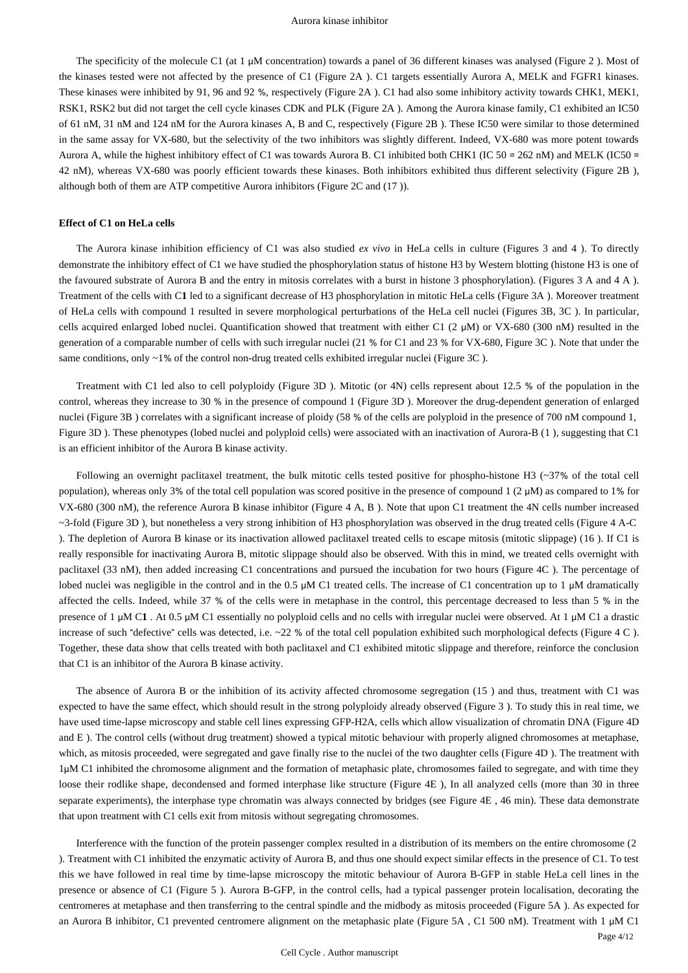The specificity of the molecule C1 (at 1 μM concentration) towards a panel of 36 different kinases was analysed (Figure 2 ). Most of the kinases tested were not affected by the presence of C1 (Figure 2A ). C1 targets essentially Aurora A, MELK and FGFR1 kinases. These kinases were inhibited by 91, 96 and 92 %, respectively (Figure 2A ). C1 had also some inhibitory activity towards CHK1, MEK1, RSK1, RSK2 but did not target the cell cycle kinases CDK and PLK (Figure 2A ). Among the Aurora kinase family, C1 exhibited an IC50 of 61 nM, 31 nM and 124 nM for the Aurora kinases A, B and C, respectively (Figure 2B ). These IC50 were similar to those determined in the same assay for VX-680, but the selectivity of the two inhibitors was slightly different. Indeed, VX-680 was more potent towards Aurora A, while the highest inhibitory effect of C1 was towards Aurora B. C1 inhibited both CHK1 (IC 50 = 262 nM) and MELK (IC50 = 42 nM), whereas VX-680 was poorly efficient towards these kinases. Both inhibitors exhibited thus different selectivity (Figure 2B ), although both of them are ATP competitive Aurora inhibitors (Figure 2C and (17 )).

### **Effect of C1 on HeLa cells**

The Aurora kinase inhibition efficiency of C1 was also studied *ex vivo* in HeLa cells in culture (Figures 3 and 4 ). To directly demonstrate the inhibitory effect of C1 we have studied the phosphorylation status of histone H3 by Western blotting (histone H3 is one of the favoured substrate of Aurora B and the entry in mitosis correlates with a burst in histone 3 phosphorylation). (Figures 3 A and 4 A ). Treatment of the cells with C**1** led to a significant decrease of H3 phosphorylation in mitotic HeLa cells (Figure 3A ). Moreover treatment of HeLa cells with compound 1 resulted in severe morphological perturbations of the HeLa cell nuclei (Figures 3B, 3C ). In particular, cells acquired enlarged lobed nuclei. Quantification showed that treatment with either C1 (2 μM) or VX-680 (300 nM) resulted in the generation of a comparable number of cells with such irregular nuclei (21 % for C1 and 23 % for VX-680, Figure 3C ). Note that under the same conditions, only ~1% of the control non-drug treated cells exhibited irregular nuclei (Figure 3C).

Treatment with C1 led also to cell polyploidy (Figure 3D ). Mitotic (or 4N) cells represent about 12.5 % of the population in the control, whereas they increase to 30 % in the presence of compound 1 (Figure 3D ). Moreover the drug-dependent generation of enlarged nuclei (Figure 3B ) correlates with a significant increase of ploidy (58 % of the cells are polyploid in the presence of 700 nM compound 1, Figure 3D ). These phenotypes (lobed nuclei and polyploid cells) were associated with an inactivation of Aurora-B (1 ), suggesting that C1 is an efficient inhibitor of the Aurora B kinase activity.

Following an overnight paclitaxel treatment, the bulk mitotic cells tested positive for phospho-histone H3 (~37% of the total cell population), whereas only 3% of the total cell population was scored positive in the presence of compound 1 (2 μM) as compared to 1% for VX-680 (300 nM), the reference Aurora B kinase inhibitor (Figure 4 A, B ). Note that upon C1 treatment the 4N cells number increased ~3-fold (Figure 3D ), but nonetheless a very strong inhibition of H3 phosphorylation was observed in the drug treated cells (Figure 4 A-C ). The depletion of Aurora B kinase or its inactivation allowed paclitaxel treated cells to escape mitosis (mitotic slippage) (16 ). If C1 is really responsible for inactivating Aurora B, mitotic slippage should also be observed. With this in mind, we treated cells overnight with paclitaxel (33 nM), then added increasing C1 concentrations and pursued the incubation for two hours (Figure 4C ). The percentage of lobed nuclei was negligible in the control and in the 0.5 μM C1 treated cells. The increase of C1 concentration up to 1 μM dramatically affected the cells. Indeed, while 37 % of the cells were in metaphase in the control, this percentage decreased to less than 5 % in the presence of 1 μM C**1** . At 0.5 μM C1 essentially no polyploid cells and no cells with irregular nuclei were observed. At 1 μM C1 a drastic increase of such "defective" cells was detected, i.e. ~22 % of the total cell population exhibited such morphological defects (Figure 4 C ). Together, these data show that cells treated with both paclitaxel and C1 exhibited mitotic slippage and therefore, reinforce the conclusion that C1 is an inhibitor of the Aurora B kinase activity.

The absence of Aurora B or the inhibition of its activity affected chromosome segregation (15 ) and thus, treatment with C1 was expected to have the same effect, which should result in the strong polyploidy already observed (Figure 3 ). To study this in real time, we have used time-lapse microscopy and stable cell lines expressing GFP-H2A, cells which allow visualization of chromatin DNA (Figure 4D and E ). The control cells (without drug treatment) showed a typical mitotic behaviour with properly aligned chromosomes at metaphase, which, as mitosis proceeded, were segregated and gave finally rise to the nuclei of the two daughter cells (Figure 4D). The treatment with 1μM C1 inhibited the chromosome alignment and the formation of metaphasic plate, chromosomes failed to segregate, and with time they loose their rodlike shape, decondensed and formed interphase like structure (Figure 4E ), In all analyzed cells (more than 30 in three separate experiments), the interphase type chromatin was always connected by bridges (see Figure 4E , 46 min). These data demonstrate that upon treatment with C1 cells exit from mitosis without segregating chromosomes.

Interference with the function of the protein passenger complex resulted in a distribution of its members on the entire chromosome (2 ). Treatment with C1 inhibited the enzymatic activity of Aurora B, and thus one should expect similar effects in the presence of C1. To test this we have followed in real time by time-lapse microscopy the mitotic behaviour of Aurora B-GFP in stable HeLa cell lines in the presence or absence of C1 (Figure 5 ). Aurora B-GFP, in the control cells, had a typical passenger protein localisation, decorating the centromeres at metaphase and then transferring to the central spindle and the midbody as mitosis proceeded (Figure 5A ). As expected for an Aurora B inhibitor, C1 prevented centromere alignment on the metaphasic plate (Figure 5A , C1 500 nM). Treatment with 1 μM C1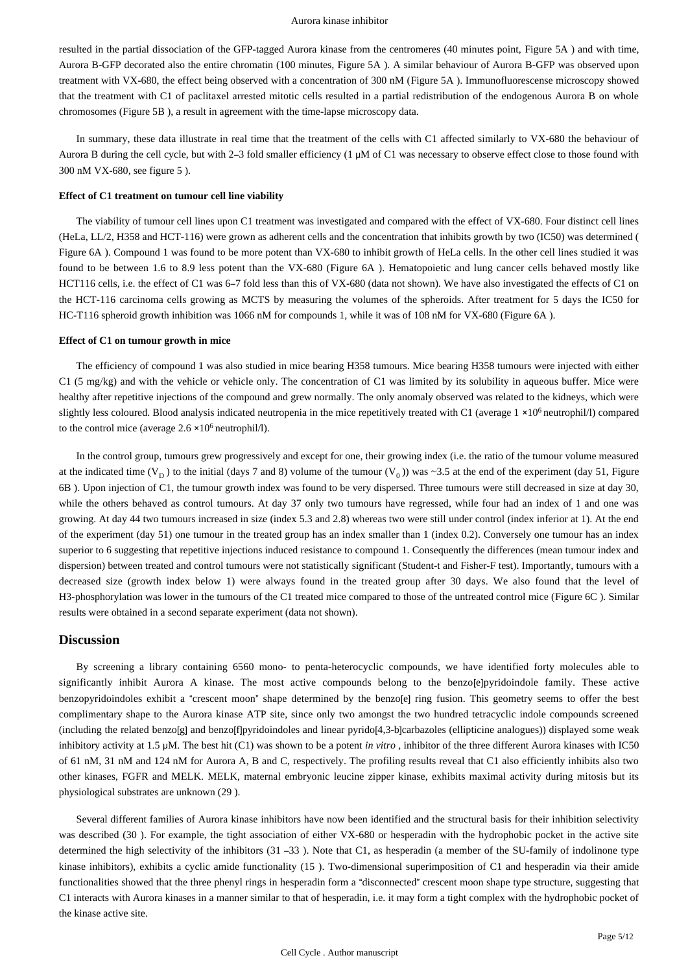resulted in the partial dissociation of the GFP-tagged Aurora kinase from the centromeres (40 minutes point, Figure 5A ) and with time, Aurora B-GFP decorated also the entire chromatin (100 minutes, Figure 5A ). A similar behaviour of Aurora B-GFP was observed upon treatment with VX-680, the effect being observed with a concentration of 300 nM (Figure 5A ). Immunofluorescense microscopy showed that the treatment with C1 of paclitaxel arrested mitotic cells resulted in a partial redistribution of the endogenous Aurora B on whole chromosomes (Figure 5B ), a result in agreement with the time-lapse microscopy data.

In summary, these data illustrate in real time that the treatment of the cells with C1 affected similarly to VX-680 the behaviour of Aurora B during the cell cycle, but with 2–3 fold smaller efficiency (1 μM of C1 was necessary to observe effect close to those found with 300 nM VX-680, see figure 5 ).

### **Effect of C1 treatment on tumour cell line viability**

The viability of tumour cell lines upon C1 treatment was investigated and compared with the effect of VX-680. Four distinct cell lines (HeLa, LL/2, H358 and HCT-116) were grown as adherent cells and the concentration that inhibits growth by two (IC50) was determined ( Figure 6A ). Compound 1 was found to be more potent than VX-680 to inhibit growth of HeLa cells. In the other cell lines studied it was found to be between 1.6 to 8.9 less potent than the VX-680 (Figure 6A ). Hematopoietic and lung cancer cells behaved mostly like HCT116 cells, i.e. the effect of C1 was 6–7 fold less than this of VX-680 (data not shown). We have also investigated the effects of C1 on the HCT-116 carcinoma cells growing as MCTS by measuring the volumes of the spheroids. After treatment for 5 days the IC50 for HC-T116 spheroid growth inhibition was 1066 nM for compounds 1, while it was of 108 nM for VX-680 (Figure 6A ).

#### **Effect of C1 on tumour growth in mice**

The efficiency of compound 1 was also studied in mice bearing H358 tumours. Mice bearing H358 tumours were injected with either C1 (5 mg/kg) and with the vehicle or vehicle only. The concentration of C1 was limited by its solubility in aqueous buffer. Mice were healthy after repetitive injections of the compound and grew normally. The only anomaly observed was related to the kidneys, which were slightly less coloured. Blood analysis indicated neutropenia in the mice repetitively treated with C1 (average  $1 \times 10^6$  neutrophil/l) compared to the control mice (average  $2.6 \times 10^6$  neutrophil/l).

In the control group, tumours grew progressively and except for one, their growing index (i.e. the ratio of the tumour volume measured at the indicated time ( $V_D$ ) to the initial (days 7 and 8) volume of the tumour ( $V_o$ )) was ~3.5 at the end of the experiment (day 51, Figure 6B ). Upon injection of C1, the tumour growth index was found to be very dispersed. Three tumours were still decreased in size at day 30, while the others behaved as control tumours. At day 37 only two tumours have regressed, while four had an index of 1 and one was growing. At day 44 two tumours increased in size (index 5.3 and 2.8) whereas two were still under control (index inferior at 1). At the end of the experiment (day 51) one tumour in the treated group has an index smaller than 1 (index 0.2). Conversely one tumour has an index superior to 6 suggesting that repetitive injections induced resistance to compound 1. Consequently the differences (mean tumour index and dispersion) between treated and control tumours were not statistically significant (Student-t and Fisher-F test). Importantly, tumours with a decreased size (growth index below 1) were always found in the treated group after 30 days. We also found that the level of H3-phosphorylation was lower in the tumours of the C1 treated mice compared to those of the untreated control mice (Figure 6C ). Similar results were obtained in a second separate experiment (data not shown).

# **Discussion**

By screening a library containing 6560 mono- to penta-heterocyclic compounds, we have identified forty molecules able to significantly inhibit Aurora A kinase. The most active compounds belong to the benzo[e]pyridoindole family. These active benzopyridoindoles exhibit a "crescent moon" shape determined by the benzo[e] ring fusion. This geometry seems to offer the best complimentary shape to the Aurora kinase ATP site, since only two amongst the two hundred tetracyclic indole compounds screened (including the related benzo[g] and benzo[f]pyridoindoles and linear pyrido[4,3-b]carbazoles (ellipticine analogues)) displayed some weak inhibitory activity at 1.5 μM. The best hit (C1) was shown to be a potent *in vitro* , inhibitor of the three different Aurora kinases with IC50 of 61 nM, 31 nM and 124 nM for Aurora A, B and C, respectively. The profiling results reveal that C1 also efficiently inhibits also two other kinases, FGFR and MELK. MELK, maternal embryonic leucine zipper kinase, exhibits maximal activity during mitosis but its physiological substrates are unknown (29 ).

Several different families of Aurora kinase inhibitors have now been identified and the structural basis for their inhibition selectivity was described (30 ). For example, the tight association of either VX-680 or hesperadin with the hydrophobic pocket in the active site determined the high selectivity of the inhibitors (31 –33 ). Note that C1, as hesperadin (a member of the SU-family of indolinone type kinase inhibitors), exhibits a cyclic amide functionality (15 ). Two-dimensional superimposition of C1 and hesperadin via their amide functionalities showed that the three phenyl rings in hesperadin form a "disconnected" crescent moon shape type structure, suggesting that C1 interacts with Aurora kinases in a manner similar to that of hesperadin, i.e. it may form a tight complex with the hydrophobic pocket of the kinase active site.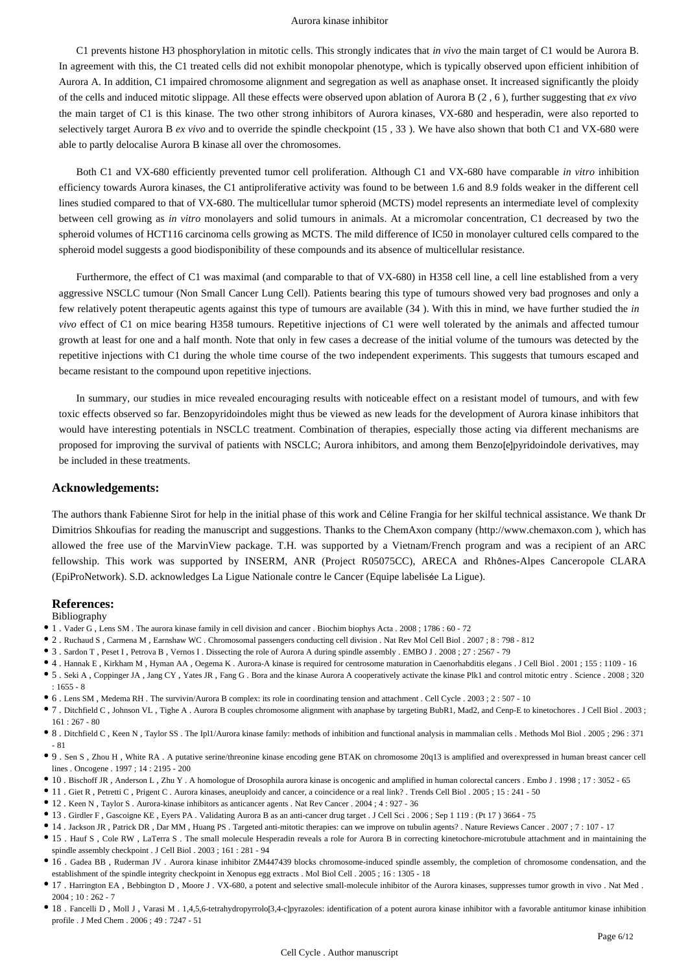C1 prevents histone H3 phosphorylation in mitotic cells. This strongly indicates that *in vivo* the main target of C1 would be Aurora B. In agreement with this, the C1 treated cells did not exhibit monopolar phenotype, which is typically observed upon efficient inhibition of Aurora A. In addition, C1 impaired chromosome alignment and segregation as well as anaphase onset. It increased significantly the ploidy of the cells and induced mitotic slippage. All these effects were observed upon ablation of Aurora B (2 , 6 ), further suggesting that *ex vivo*  the main target of C1 is this kinase. The two other strong inhibitors of Aurora kinases, VX-680 and hesperadin, were also reported to selectively target Aurora B *ex vivo* and to override the spindle checkpoint (15 , 33 ). We have also shown that both C1 and VX-680 were able to partly delocalise Aurora B kinase all over the chromosomes.

Both C1 and VX-680 efficiently prevented tumor cell proliferation. Although C1 and VX-680 have comparable *in vitro* inhibition efficiency towards Aurora kinases, the C1 antiproliferative activity was found to be between 1.6 and 8.9 folds weaker in the different cell lines studied compared to that of VX-680. The multicellular tumor spheroid (MCTS) model represents an intermediate level of complexity between cell growing as *in vitro* monolayers and solid tumours in animals. At a micromolar concentration, C1 decreased by two the spheroid volumes of HCT116 carcinoma cells growing as MCTS. The mild difference of IC50 in monolayer cultured cells compared to the spheroid model suggests a good biodisponibility of these compounds and its absence of multicellular resistance.

Furthermore, the effect of C1 was maximal (and comparable to that of VX-680) in H358 cell line, a cell line established from a very aggressive NSCLC tumour (Non Small Cancer Lung Cell). Patients bearing this type of tumours showed very bad prognoses and only a few relatively potent therapeutic agents against this type of tumours are available (34 ). With this in mind, we have further studied the *in vivo* effect of C1 on mice bearing H358 tumours. Repetitive injections of C1 were well tolerated by the animals and affected tumour growth at least for one and a half month. Note that only in few cases a decrease of the initial volume of the tumours was detected by the repetitive injections with C1 during the whole time course of the two independent experiments. This suggests that tumours escaped and became resistant to the compound upon repetitive injections.

In summary, our studies in mice revealed encouraging results with noticeable effect on a resistant model of tumours, and with few toxic effects observed so far. Benzopyridoindoles might thus be viewed as new leads for the development of Aurora kinase inhibitors that would have interesting potentials in NSCLC treatment. Combination of therapies, especially those acting via different mechanisms are proposed for improving the survival of patients with NSCLC; Aurora inhibitors, and among them Benzo[e]pyridoindole derivatives, may be included in these treatments.

# **Acknowledgements:**

The authors thank Fabienne Sirot for help in the initial phase of this work and Céline Frangia for her skilful technical assistance. We thank Dr Dimitrios Shkoufias for reading the manuscript and suggestions. Thanks to the ChemAxon company (http://www.chemaxon.com ), which has allowed the free use of the MarvinView package. T.H. was supported by a Vietnam/French program and was a recipient of an ARC fellowship. This work was supported by INSERM, ANR (Project R05075CC), ARECA and Rhônes-Alpes Canceropole CLARA (EpiProNetwork). S.D. acknowledges La Ligue Nationale contre le Cancer (Equipe labelisée La Ligue).

# **References:**

Bibliography

- 1 . Vader G , Lens SM . The aurora kinase family in cell division and cancer . Biochim biophys Acta . 2008 ; 1786 : 60 72
- 2 . Ruchaud S , Carmena M , Earnshaw WC . Chromosomal passengers conducting cell division . Nat Rev Mol Cell Biol . 2007 ; 8 : 798 812
- 3 . Sardon T , Peset I , Petrova B , Vernos I . Dissecting the role of Aurora A during spindle assembly . EMBO J . 2008 ; 27 : 2567 79
- 4 . Hannak E , Kirkham M , Hyman AA , Oegema K . Aurora-A kinase is required for centrosome maturation in Caenorhabditis elegans . J Cell Biol . 2001 ; 155 : 1109 16
- 5 . Seki A , Coppinger JA , Jang CY , Yates JR , Fang G . Bora and the kinase Aurora A cooperatively activate the kinase Plk1 and control mitotic entry . Science . 2008 ; 320 : 1655 - 8
- 6 . Lens SM , Medema RH . The survivin/Aurora B complex: its role in coordinating tension and attachment . Cell Cycle . 2003 ; 2 : 507 10
- 7 . Ditchfield C , Johnson VL , Tighe A . Aurora B couples chromosome alignment with anaphase by targeting BubR1, Mad2, and Cenp-E to kinetochores . J Cell Biol . 2003 ; 161 : 267 - 80

8 . Ditchfield C , Keen N , Taylor SS . The Ipl1/Aurora kinase family: methods of inhibition and functional analysis in mammalian cells . Methods Mol Biol . 2005 ; 296 : 371 - 81

- 9 . Sen S , Zhou H , White RA . A putative serine/threonine kinase encoding gene BTAK on chromosome 20q13 is amplified and overexpressed in human breast cancer cell lines . Oncogene . 1997 ; 14 : 2195 - 200
- 10 . Bischoff JR , Anderson L , Zhu Y . A homologue of Drosophila aurora kinase is oncogenic and amplified in human colorectal cancers . Embo J . 1998 ; 17 : 3052 65
- 11 . Giet R , Petretti C , Prigent C . Aurora kinases, aneuploidy and cancer, a coincidence or a real link? . Trends Cell Biol . 2005 ; 15 : 241 50
- 12 . Keen N , Taylor S . Aurora-kinase inhibitors as anticancer agents . Nat Rev Cancer . 2004 ; 4 : 927 36
- <sup>1</sup> 13 . Girdler F, Gascoigne KE, Eyers PA. Validating Aurora B as an anti-cancer drug target . J Cell Sci . 2006; Sep 1 119 : (Pt 17) 3664 75
- 14 . Jackson JR , Patrick DR , Dar MM , Huang PS . Targeted anti-mitotic therapies: can we improve on tubulin agents? . Nature Reviews Cancer . 2007 ; 7 : 107 17
- 15 . Hauf S , Cole RW , LaTerra S . The small molecule Hesperadin reveals a role for Aurora B in correcting kinetochore-microtubule attachment and in maintaining the spindle assembly checkpoint . J Cell Biol . 2003 ; 161 : 281 - 94
- 16 . Gadea BB , Ruderman JV . Aurora kinase inhibitor ZM447439 blocks chromosome-induced spindle assembly, the completion of chromosome condensation, and the establishment of the spindle integrity checkpoint in Xenopus egg extracts . Mol Biol Cell . 2005 ; 16 : 1305 - 18
- 17 . Harrington EA , Bebbington D , Moore J . VX-680, a potent and selective small-molecule inhibitor of the Aurora kinases, suppresses tumor growth in vivo . Nat Med . 2004 ; 10 : 262 - 7
- 18 . Fancelli D , Moll J , Varasi M . 1,4,5,6-tetrahydropyrrolo[3,4-c]pyrazoles: identification of a potent aurora kinase inhibitor with a favorable antitumor kinase inhibition profile . J Med Chem . 2006 ; 49 : 7247 - 51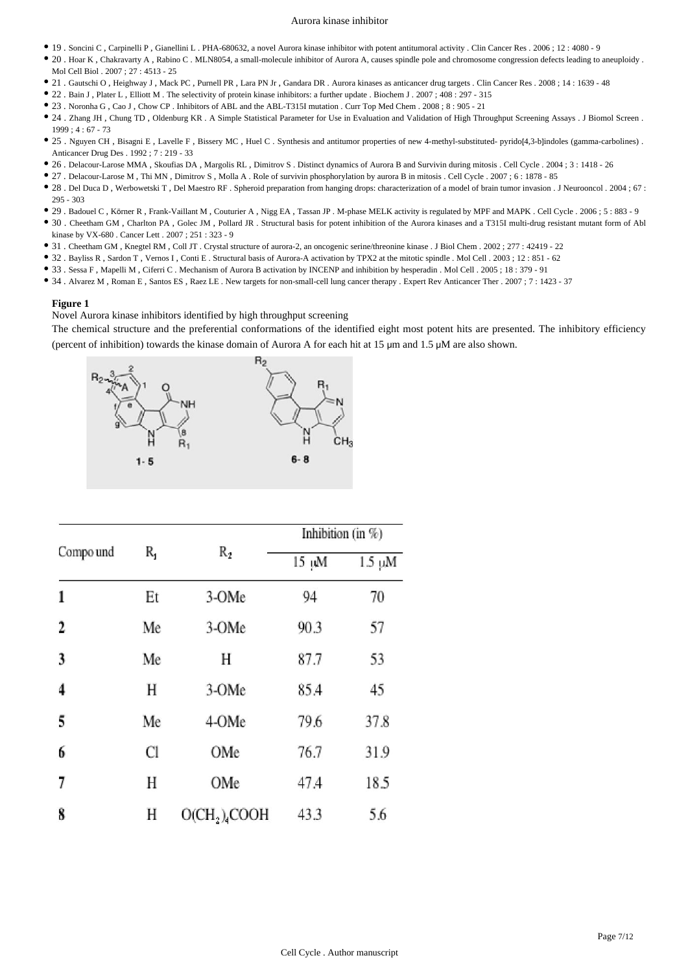- 19 . Soncini C , Carpinelli P , Gianellini L . PHA-680632, a novel Aurora kinase inhibitor with potent antitumoral activity . Clin Cancer Res . 2006 ; 12 : 4080 9
- 20 . Hoar K , Chakravarty A , Rabino C . MLN8054, a small-molecule inhibitor of Aurora A, causes spindle pole and chromosome congression defects leading to aneuploidy . Mol Cell Biol . 2007 ; 27 : 4513 - 25
- 21 . Gautschi O , Heighway J , Mack PC , Purnell PR , Lara PN Jr , Gandara DR . Aurora kinases as anticancer drug targets . Clin Cancer Res . 2008 ; 14 : 1639 48
- 22 . Bain J , Plater L , Elliott M . The selectivity of protein kinase inhibitors: a further update . Biochem J . 2007 ; 408 : 297 315
- 23 . Noronha G , Cao J , Chow CP . Inhibitors of ABL and the ABL-T315I mutation . Curr Top Med Chem . 2008 ; 8 : 905 21
- 24 . Zhang JH , Chung TD , Oldenburg KR . A Simple Statistical Parameter for Use in Evaluation and Validation of High Throughput Screening Assays . J Biomol Screen . 1999 ; 4 : 67 - 73
- 25 . Nguyen CH , Bisagni E , Lavelle F , Bissery MC , Huel C . Synthesis and antitumor properties of new 4-methyl-substituted- pyrido[4,3-b]indoles (gamma-carbolines) . Anticancer Drug Des . 1992 ; 7 : 219 - 33
- 26 . Delacour-Larose MMA , Skoufias DA , Margolis RL , Dimitrov S . Distinct dynamics of Aurora B and Survivin during mitosis . Cell Cycle . 2004 ; 3 : 1418 26
- 27 . Delacour-Larose M , Thi MN , Dimitrov S , Molla A . Role of survivin phosphorylation by aurora B in mitosis . Cell Cycle . 2007 ; 6 : 1878 85
- 28 . Del Duca D , Werbowetski T , Del Maestro RF . Spheroid preparation from hanging drops: characterization of a model of brain tumor invasion . J Neurooncol . 2004 ; 67 : 295 - 303
- 29 . Badouel C , Körner R , Frank-Vaillant M , Couturier A , Nigg EA , Tassan JP . M-phase MELK activity is regulated by MPF and MAPK . Cell Cycle . 2006 ; 5 : 883 9
- 30 . Cheetham GM, Charlton PA, Golec JM, Pollard JR. Structural basis for potent inhibition of the Aurora kinases and a T315I multi-drug resistant mutant form of Abl kinase by VX-680 . Cancer Lett . 2007 ; 251 : 323 - 9
- 31 . Cheetham GM , Knegtel RM , Coll JT . Crystal structure of aurora-2, an oncogenic serine/threonine kinase . J Biol Chem . 2002 ; 277 : 42419 22
- 32 . Bayliss R , Sardon T , Vernos I , Conti E . Structural basis of Aurora-A activation by TPX2 at the mitotic spindle . Mol Cell . 2003 ; 12 : 851 62
- 33 . Sessa F , Mapelli M , Ciferri C . Mechanism of Aurora B activation by INCENP and inhibition by hesperadin . Mol Cell . 2005 ; 18 : 379 91
- 34 . Alvarez M , Roman E , Santos ES , Raez LE . New targets for non-small-cell lung cancer therapy . Expert Rev Anticancer Ther . 2007 ; 7 : 1423 37

#### **Figure 1**

Novel Aurora kinase inhibitors identified by high throughput screening

The chemical structure and the preferential conformations of the identified eight most potent hits are presented. The inhibitory efficiency (percent of inhibition) towards the kinase domain of Aurora A for each hit at 15 μm and 1.5 μM are also shown.



| Compo und      |             |                | Inhibition (in %) |             |  |  |  |
|----------------|-------------|----------------|-------------------|-------------|--|--|--|
|                | R,          | $R_{2}$        | 15 µM             | $1.5 \mu M$ |  |  |  |
| $\mathbf{1}$   | 3-OMe<br>Et |                | 94                | 70          |  |  |  |
| $\overline{2}$ | Me          | 3-OMe          | 90.3              | 57          |  |  |  |
| 3<br>Me        |             | Н              | 87.7              | 53          |  |  |  |
| 4              | H           | 3-OMe          | 85.4              | 45          |  |  |  |
| 5              | Me          | 4-OMe          | 79.6              | 37.8        |  |  |  |
| 6              | Cl          | OMe            | 76.7              | 31.9        |  |  |  |
| 7              | Н           | OMe            | 47.4              | 18.5        |  |  |  |
| 8              | Η           | $O(CH_2)$ COOH | 43.3              | 5.6         |  |  |  |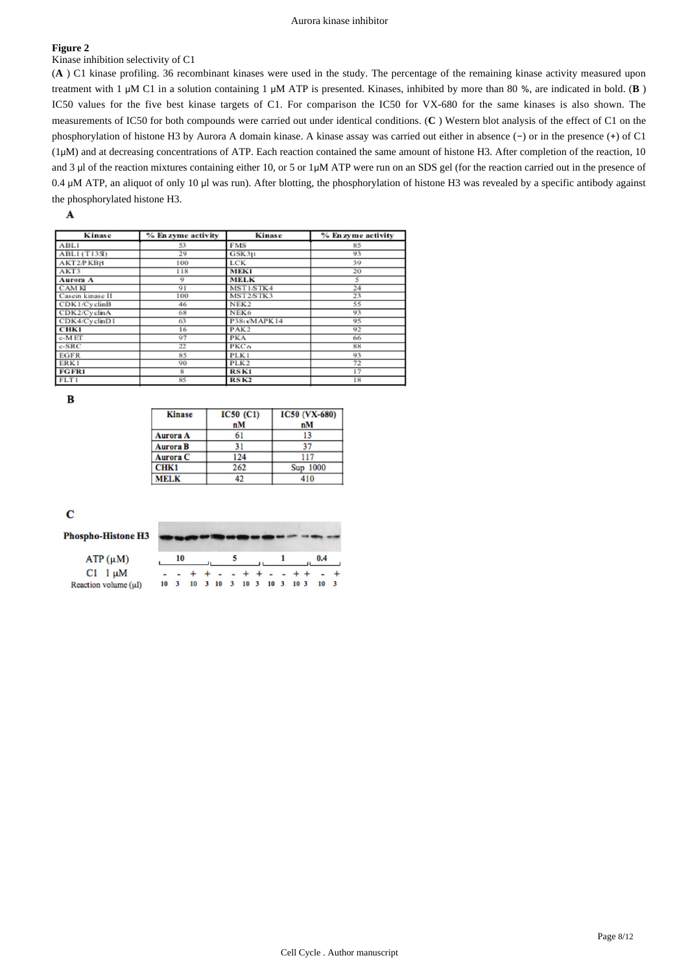Kinase inhibition selectivity of C1

(**A** ) C1 kinase profiling. 36 recombinant kinases were used in the study. The percentage of the remaining kinase activity measured upon treatment with 1 μM C1 in a solution containing 1 μM ATP is presented. Kinases, inhibited by more than 80 %, are indicated in bold. (**B** ) IC50 values for the five best kinase targets of C1. For comparison the IC50 for VX-680 for the same kinases is also shown. The measurements of IC50 for both compounds were carried out under identical conditions. (**C** ) Western blot analysis of the effect of C1 on the phosphorylation of histone H3 by Aurora A domain kinase. A kinase assay was carried out either in absence (−) or in the presence (+) of C1 (1μM) and at decreasing concentrations of ATP. Each reaction contained the same amount of histone H3. After completion of the reaction, 10 and 3 μl of the reaction mixtures containing either 10, or 5 or 1μM ATP were run on an SDS gel (for the reaction carried out in the presence of 0.4 μM ATP, an aliquot of only 10 μl was run). After blotting, the phosphorylation of histone H3 was revealed by a specific antibody against the phosphorylated histone H3.

 $\mathbf{A}$ 

| <b>Kinase</b>     | % En zyme activity | <b>Kinase</b>           | % En zyme activity |  |  |  |
|-------------------|--------------------|-------------------------|--------------------|--|--|--|
| ABL1              | 53                 | <b>FMS</b>              | 85                 |  |  |  |
| ABLI(T13S)        | 29                 | GSK311                  | 93                 |  |  |  |
| AKT2/PKBB         | 100                | <b>LCK</b>              | 39                 |  |  |  |
| AKT3              | 118                | MEK1                    | 20                 |  |  |  |
| Aurora A          | 9                  | <b>MELK</b>             |                    |  |  |  |
| CAM <sub>KI</sub> | 91                 | MST1/STK4               | 24                 |  |  |  |
| Casein kinase II  | 100                | MST2/STK3               | 23                 |  |  |  |
| CDK1/CyclinB      | 46                 | NEK <sub>2</sub>        | 55                 |  |  |  |
| CDK2/CyclinA      | 68                 | NEK6                    | 93                 |  |  |  |
| CDK4/CyclinD1     | 63                 | P38 <sub>1</sub> MAPK14 | 95                 |  |  |  |
| CHK1              | 16                 | PAK2                    | 92                 |  |  |  |
| $c-MET$           | 97                 | <b>PKA</b>              | 66                 |  |  |  |
| $c-SRC$           | 22                 | PKCo                    | 88                 |  |  |  |
| <b>EGFR</b>       | 85                 | PLK1                    | 93                 |  |  |  |
| ERK1              | 90                 | PLK <sub>2</sub>        | 72                 |  |  |  |
| <b>FGFR1</b>      | 8                  | RSK1                    | 17                 |  |  |  |
| FLT1              | 85                 | RSK2                    | 18                 |  |  |  |

 $\bf{B}$ 

| <b>Kinase</b>   | IC50(C1) | <b>IC50 (VX-680)</b> |  |  |  |  |
|-----------------|----------|----------------------|--|--|--|--|
|                 | nM       | nM                   |  |  |  |  |
| <b>Aurora A</b> | 61       | 13                   |  |  |  |  |
| <b>Aurora B</b> | 31       | 37                   |  |  |  |  |
| Aurora C        | 124      | 117                  |  |  |  |  |
| CHK1            | 262      | Sup 1000             |  |  |  |  |
| <b>MELK</b>     | 42       | 410                  |  |  |  |  |

# $\mathbf C$

| Phospho-Histone H3   |  |    |        |    |    |                         |    |     |                 |     |  |
|----------------------|--|----|--------|----|----|-------------------------|----|-----|-----------------|-----|--|
| $ATP(\mu M)$         |  | 10 |        |    |    |                         |    |     |                 | 0.4 |  |
| $Cl$ $1 \mu M$       |  |    |        |    |    |                         |    |     |                 |     |  |
| Reaction volume (µI) |  |    | $_{3}$ | 10 | 10 | $\overline{\mathbf{3}}$ | 10 | - 3 | 10 <sub>3</sub> |     |  |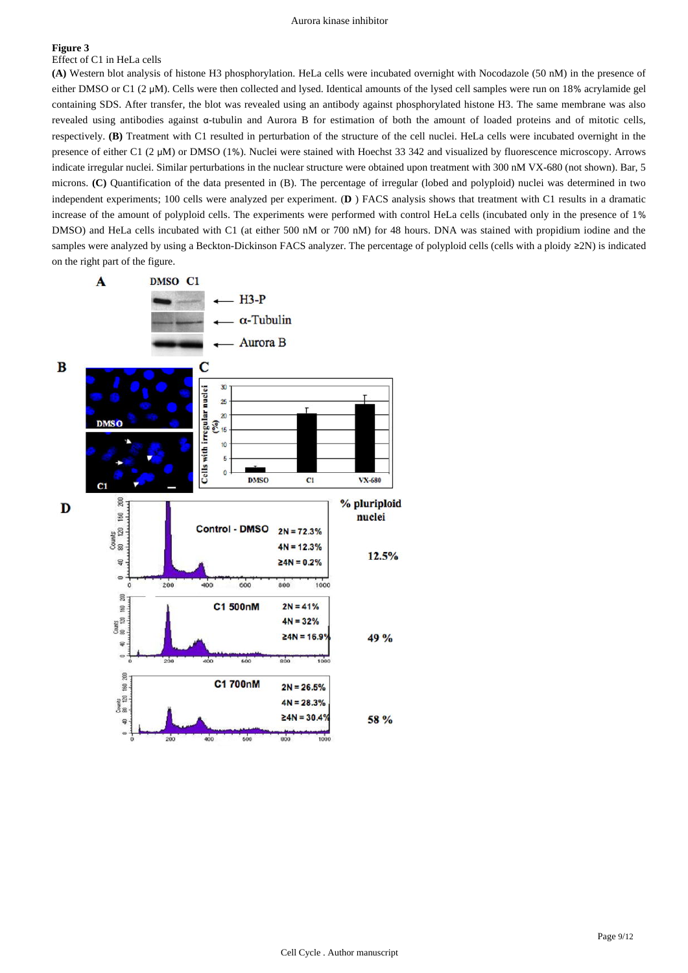# Effect of C1 in HeLa cells

**(A)** Western blot analysis of histone H3 phosphorylation. HeLa cells were incubated overnight with Nocodazole (50 nM) in the presence of either DMSO or C1 (2 μM). Cells were then collected and lysed. Identical amounts of the lysed cell samples were run on 18% acrylamide gel containing SDS. After transfer, the blot was revealed using an antibody against phosphorylated histone H3. The same membrane was also revealed using antibodies against α-tubulin and Aurora B for estimation of both the amount of loaded proteins and of mitotic cells, respectively. **(B)** Treatment with C1 resulted in perturbation of the structure of the cell nuclei. HeLa cells were incubated overnight in the presence of either C1 (2 μM) or DMSO (1%). Nuclei were stained with Hoechst 33 342 and visualized by fluorescence microscopy. Arrows indicate irregular nuclei. Similar perturbations in the nuclear structure were obtained upon treatment with 300 nM VX-680 (not shown). Bar, 5 microns. **(C)** Quantification of the data presented in (B). The percentage of irregular (lobed and polyploid) nuclei was determined in two independent experiments; 100 cells were analyzed per experiment. (**D** ) FACS analysis shows that treatment with C1 results in a dramatic increase of the amount of polyploid cells. The experiments were performed with control HeLa cells (incubated only in the presence of 1% DMSO) and HeLa cells incubated with C1 (at either 500 nM or 700 nM) for 48 hours. DNA was stained with propidium iodine and the samples were analyzed by using a Beckton-Dickinson FACS analyzer. The percentage of polyploid cells (cells with a ploidy ≥2N) is indicated on the right part of the figure.

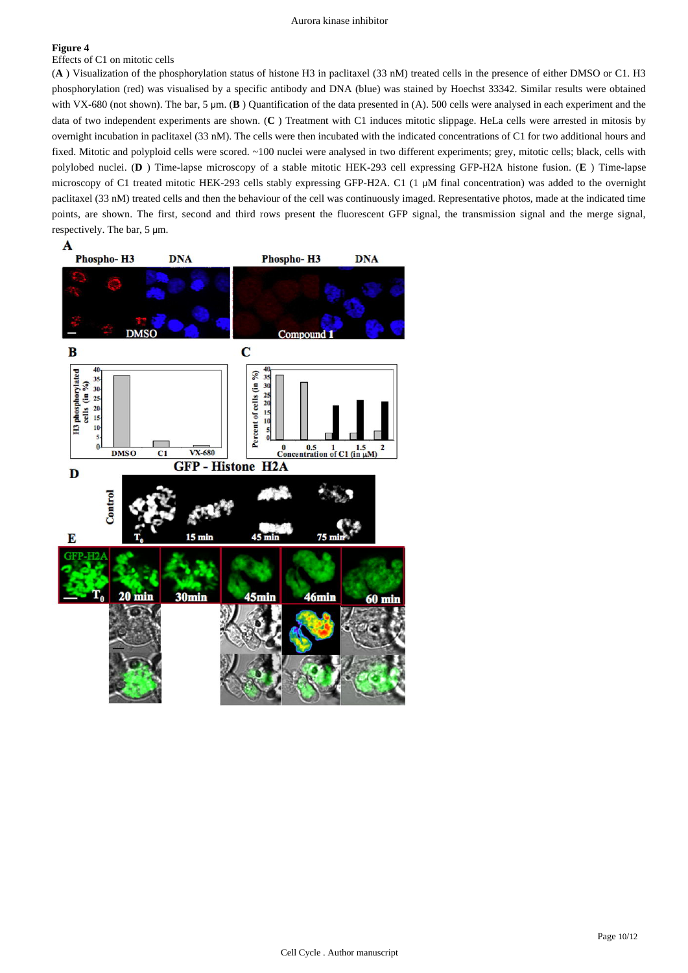# Effects of C1 on mitotic cells

(**A** ) Visualization of the phosphorylation status of histone H3 in paclitaxel (33 nM) treated cells in the presence of either DMSO or C1. H3 phosphorylation (red) was visualised by a specific antibody and DNA (blue) was stained by Hoechst 33342. Similar results were obtained with VX-680 (not shown). The bar, 5 μm. (**B** ) Quantification of the data presented in (A). 500 cells were analysed in each experiment and the data of two independent experiments are shown. (**C** ) Treatment with C1 induces mitotic slippage. HeLa cells were arrested in mitosis by overnight incubation in paclitaxel (33 nM). The cells were then incubated with the indicated concentrations of C1 for two additional hours and fixed. Mitotic and polyploid cells were scored. ~100 nuclei were analysed in two different experiments; grey, mitotic cells; black, cells with polylobed nuclei. (**D** ) Time-lapse microscopy of a stable mitotic HEK-293 cell expressing GFP-H2A histone fusion. (**E** ) Time-lapse microscopy of C1 treated mitotic HEK-293 cells stably expressing GFP-H2A. C1 (1 μM final concentration) was added to the overnight paclitaxel (33 nM) treated cells and then the behaviour of the cell was continuously imaged. Representative photos, made at the indicated time points, are shown. The first, second and third rows present the fluorescent GFP signal, the transmission signal and the merge signal, respectively. The bar, 5 μm.

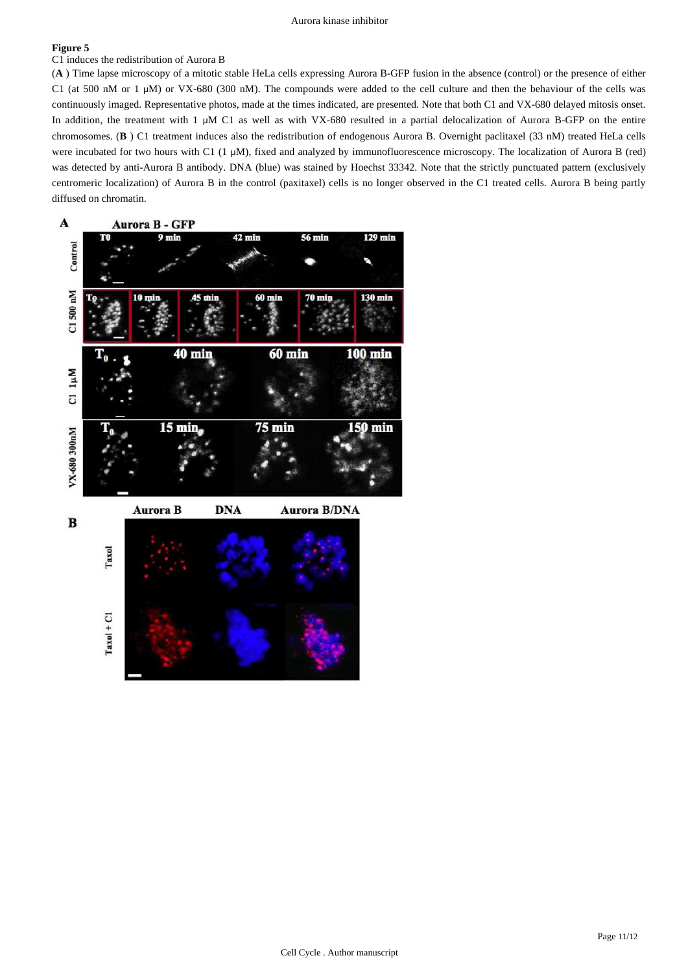### C1 induces the redistribution of Aurora B

(**A** ) Time lapse microscopy of a mitotic stable HeLa cells expressing Aurora B-GFP fusion in the absence (control) or the presence of either C1 (at 500 nM or 1 μM) or VX-680 (300 nM). The compounds were added to the cell culture and then the behaviour of the cells was continuously imaged. Representative photos, made at the times indicated, are presented. Note that both C1 and VX-680 delayed mitosis onset. In addition, the treatment with 1 μM C1 as well as with VX-680 resulted in a partial delocalization of Aurora B-GFP on the entire chromosomes. (**B** ) C1 treatment induces also the redistribution of endogenous Aurora B. Overnight paclitaxel (33 nM) treated HeLa cells were incubated for two hours with C1 (1 μM), fixed and analyzed by immunofluorescence microscopy. The localization of Aurora B (red) was detected by anti-Aurora B antibody. DNA (blue) was stained by Hoechst 33342. Note that the strictly punctuated pattern (exclusively centromeric localization) of Aurora B in the control (paxitaxel) cells is no longer observed in the C1 treated cells. Aurora B being partly diffused on chromatin.